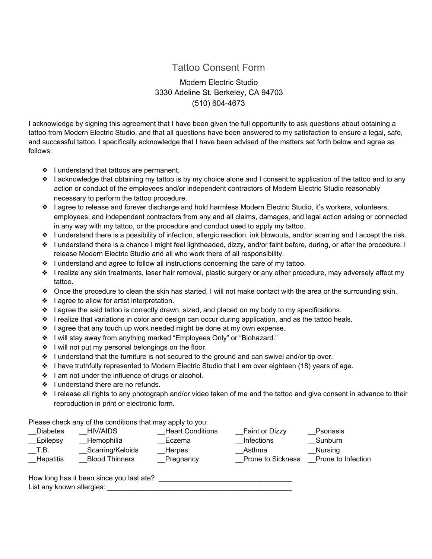## Tattoo Consent Form

Modern Electric Studio 3330 Adeline St. Berkeley, CA 94703 (510) 604-4673

I acknowledge by signing this agreement that I have been given the full opportunity to ask questions about obtaining a tattoo from Modern Electric Studio, and that all questions have been answered to my satisfaction to ensure a legal, safe, and successful tattoo. I specifically acknowledge that I have been advised of the matters set forth below and agree as follows:

- ❖ I understand that tattoos are permanent.
- ❖ I acknowledge that obtaining my tattoo is by my choice alone and I consent to application of the tattoo and to any action or conduct of the employees and/or independent contractors of Modern Electric Studio reasonably necessary to perform the tattoo procedure.
- ❖ I agree to release and forever discharge and hold harmless Modern Electric Studio, it's workers, volunteers, employees, and independent contractors from any and all claims, damages, and legal action arising or connected in any way with my tattoo, or the procedure and conduct used to apply my tattoo.
- ❖ I understand there is a possibility of infection, allergic reaction, ink blowouts, and/or scarring and I accept the risk.
- ❖ I understand there is a chance I might feel lightheaded, dizzy, and/or faint before, during, or after the procedure. I release Modern Electric Studio and all who work there of all responsibility.
- ❖ I understand and agree to follow all instructions concerning the care of my tattoo.
- ❖ I realize any skin treatments, laser hair removal, plastic surgery or any other procedure, may adversely affect my tattoo.
- ❖ Once the procedure to clean the skin has started, I will not make contact with the area or the surrounding skin.
- ❖ I agree to allow for artist interpretation.
- ❖ I agree the said tattoo is correctly drawn, sized, and placed on my body to my specifications.
- ❖ I realize that variations in color and design can occur during application, and as the tattoo heals.
- ❖ I agree that any touch up work needed might be done at my own expense.
- ❖ I will stay away from anything marked "Employees Only" or "Biohazard."
- ❖ I will not put my personal belongings on the floor.
- ❖ I understand that the furniture is not secured to the ground and can swivel and/or tip over.
- ❖ I have truthfully represented to Modern Electric Studio that I am over eighteen (18) years of age.
- ❖ I am not under the influence of drugs or alcohol.
- ❖ I understand there are no refunds.
- ❖ I release all rights to any photograph and/or video taken of me and the tattoo and give consent in advance to their reproduction in print or electronic form.

Please check any of the conditions that may apply to you:

| <b>Diabetes</b>          | <b>HIV/AIDS</b>                           | <b>Heart Conditions</b>    | <b>Faint or Dizzy</b>              | <b>Psoriasis</b>              |
|--------------------------|-------------------------------------------|----------------------------|------------------------------------|-------------------------------|
| __Epilepsy               | Hemophilia                                | Eczema                     | <b>Infections</b>                  | Sunburn                       |
| T.B.<br><b>Hepatitis</b> | Scarring/Keloids<br><b>Blood Thinners</b> | <b>Herpes</b><br>Pregnancy | Asthma<br><b>Prone to Sickness</b> | Nursing<br>Prone to Infection |

How long has it been since you last ate? List any known allergies: \_\_\_\_\_\_\_\_\_\_\_\_\_\_\_\_\_\_\_\_\_\_\_\_\_\_\_\_\_\_\_\_\_\_\_\_\_\_\_\_\_\_\_\_\_\_\_